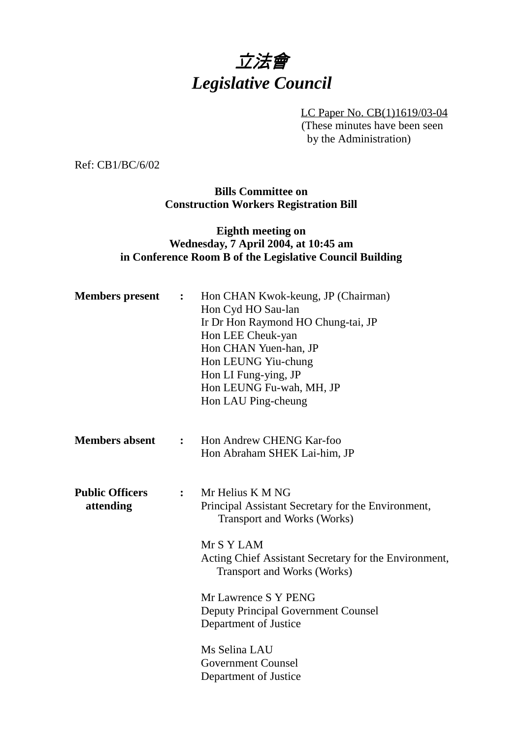## 立法會 *Legislative Council*

LC Paper No. CB(1)1619/03-04 (These minutes have been seen by the Administration)

Ref: CB1/BC/6/02

**Bills Committee on Construction Workers Registration Bill**

## **Eighth meeting on Wednesday, 7 April 2004, at 10:45 am in Conference Room B of the Legislative Council Building**

| <b>Members</b> present              | $\ddot{\cdot}$ | Hon CHAN Kwok-keung, JP (Chairman)<br>Hon Cyd HO Sau-lan<br>Ir Dr Hon Raymond HO Chung-tai, JP<br>Hon LEE Cheuk-yan<br>Hon CHAN Yuen-han, JP<br>Hon LEUNG Yiu-chung<br>Hon LI Fung-ying, JP<br>Hon LEUNG Fu-wah, MH, JP<br>Hon LAU Ping-cheung |
|-------------------------------------|----------------|------------------------------------------------------------------------------------------------------------------------------------------------------------------------------------------------------------------------------------------------|
| <b>Members absent</b>               | $\ddot{\cdot}$ | Hon Andrew CHENG Kar-foo<br>Hon Abraham SHEK Lai-him, JP                                                                                                                                                                                       |
| <b>Public Officers</b><br>attending | $\ddot{\cdot}$ | Mr Helius K M NG<br>Principal Assistant Secretary for the Environment,<br><b>Transport and Works (Works)</b><br>Mr S Y LAM                                                                                                                     |
|                                     |                | Acting Chief Assistant Secretary for the Environment,<br><b>Transport and Works (Works)</b>                                                                                                                                                    |
|                                     |                | Mr Lawrence S Y PENG<br><b>Deputy Principal Government Counsel</b><br>Department of Justice                                                                                                                                                    |
|                                     |                | Ms Selina LAU<br><b>Government Counsel</b><br>Department of Justice                                                                                                                                                                            |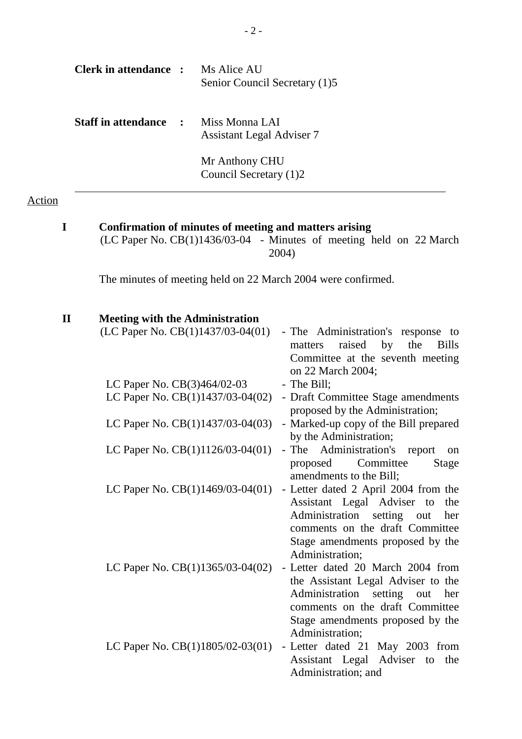| Clerk in attendance :                       | Ms Alice AU<br>Senior Council Secretary (1)5           |
|---------------------------------------------|--------------------------------------------------------|
| <b>Staff in attendance : Miss Monna LAI</b> | <b>Assistant Legal Adviser 7</b>                       |
|                                             | Mr Anthony CHU<br>Council Secretary (1)2               |
|                                             | Confirmation of minutes of meeting and matters arising |

Action

(LC Paper No. CB(1)1436/03-04 - Minutes of meeting held on 22 March 2004)

The minutes of meeting held on 22 March 2004 were confirmed.

| $\mathbf{I}\mathbf{I}$ | <b>Meeting with the Administration</b> |                                                                                                                                                                                                           |
|------------------------|----------------------------------------|-----------------------------------------------------------------------------------------------------------------------------------------------------------------------------------------------------------|
|                        | (LC Paper No. CB(1)1437/03-04(01)      | - The Administration's response to<br>raised<br>by the<br><b>Bills</b><br>matters<br>Committee at the seventh meeting<br>on 22 March 2004;                                                                |
|                        | LC Paper No. CB(3)464/02-03            | - The Bill;                                                                                                                                                                                               |
|                        | LC Paper No. $CB(1)1437/03-04(02)$     | - Draft Committee Stage amendments<br>proposed by the Administration;                                                                                                                                     |
|                        | LC Paper No. CB(1)1437/03-04(03)       | - Marked-up copy of the Bill prepared<br>by the Administration;                                                                                                                                           |
|                        | LC Paper No. CB(1)1126/03-04(01)       | - The Administration's<br>report<br>on<br>Committee<br>proposed<br>Stage<br>amendments to the Bill;                                                                                                       |
|                        | LC Paper No. $CB(1)1469/03-04(01)$     | - Letter dated 2 April 2004 from the<br>Assistant Legal Adviser to<br>the<br>Administration setting out<br>her<br>comments on the draft Committee<br>Stage amendments proposed by the<br>Administration;  |
|                        | LC Paper No. CB(1)1365/03-04(02)       | - Letter dated 20 March 2004 from<br>the Assistant Legal Adviser to the<br>Administration<br>setting out<br>her<br>comments on the draft Committee<br>Stage amendments proposed by the<br>Administration; |
|                        | LC Paper No. $CB(1)1805/02-03(01)$     | - Letter dated 21 May 2003 from<br>Assistant Legal Adviser to<br>the<br>Administration; and                                                                                                               |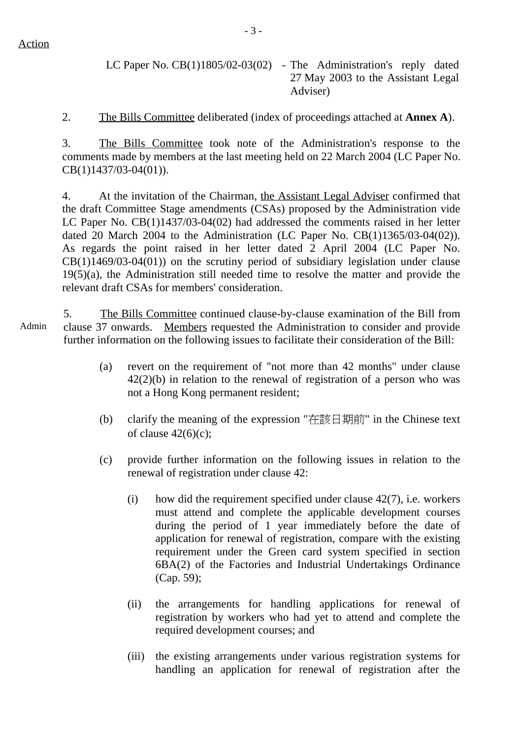LC Paper No. CB(1)1805/02-03(02) - The Administration's reply dated 27 May 2003 to the Assistant Legal Adviser)

2. The Bills Committee deliberated (index of proceedings attached at **Annex A**).

3. The Bills Committee took note of the Administration's response to the comments made by members at the last meeting held on 22 March 2004 (LC Paper No. CB(1)1437/03-04(01)).

4. At the invitation of the Chairman, the Assistant Legal Adviser confirmed that the draft Committee Stage amendments (CSAs) proposed by the Administration vide LC Paper No. CB(1)1437/03-04(02) had addressed the comments raised in her letter dated 20 March 2004 to the Administration (LC Paper No. CB(1)1365/03-04(02)). As regards the point raised in her letter dated 2 April 2004 (LC Paper No.  $CB(1)1469/03-04(01)$  on the scrutiny period of subsidiary legislation under clause 19(5)(a), the Administration still needed time to resolve the matter and provide the relevant draft CSAs for members' consideration.

Admin 5. The Bills Committee continued clause-by-clause examination of the Bill from clause 37 onwards. Members requested the Administration to consider and provide further information on the following issues to facilitate their consideration of the Bill:

- (a) revert on the requirement of "not more than 42 months" under clause 42(2)(b) in relation to the renewal of registration of a person who was not a Hong Kong permanent resident;
- (b) clarify the meaning of the expression "在該日期前" in the Chinese text of clause  $42(6)(c)$ ;
- (c) provide further information on the following issues in relation to the renewal of registration under clause 42:
	- (i) how did the requirement specified under clause 42(7), i.e. workers must attend and complete the applicable development courses during the period of 1 year immediately before the date of application for renewal of registration, compare with the existing requirement under the Green card system specified in section 6BA(2) of the Factories and Industrial Undertakings Ordinance (Cap. 59);
	- (ii) the arrangements for handling applications for renewal of registration by workers who had yet to attend and complete the required development courses; and
	- (iii) the existing arrangements under various registration systems for handling an application for renewal of registration after the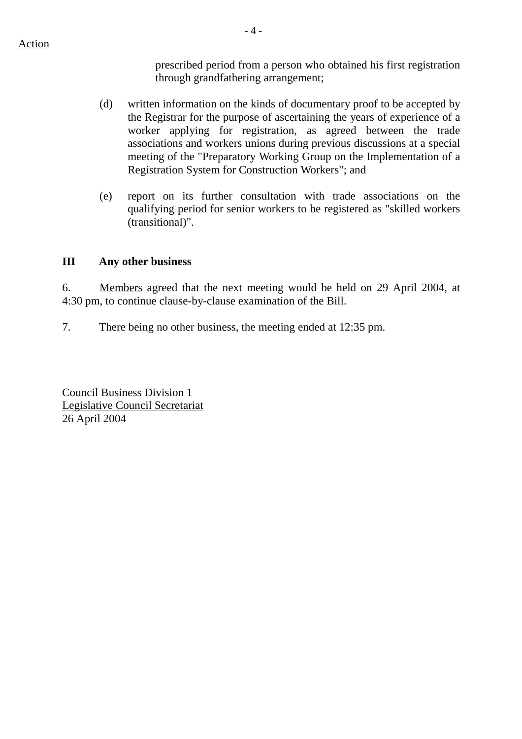- 4 -

prescribed period from a person who obtained his first registration through grandfathering arrangement;

- (d) written information on the kinds of documentary proof to be accepted by the Registrar for the purpose of ascertaining the years of experience of a worker applying for registration, as agreed between the trade associations and workers unions during previous discussions at a special meeting of the "Preparatory Working Group on the Implementation of a Registration System for Construction Workers"; and
- (e) report on its further consultation with trade associations on the qualifying period for senior workers to be registered as "skilled workers (transitional)".

## **III Any other business**

6. Members agreed that the next meeting would be held on 29 April 2004, at 4:30 pm, to continue clause-by-clause examination of the Bill.

7. There being no other business, the meeting ended at 12:35 pm.

Council Business Division 1 Legislative Council Secretariat 26 April 2004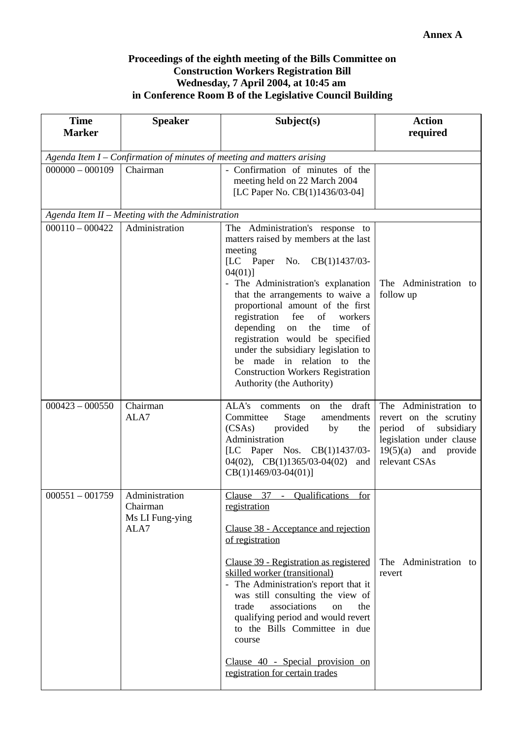## **Proceedings of the eighth meeting of the Bills Committee on Construction Workers Registration Bill Wednesday, 7 April 2004, at 10:45 am in Conference Room B of the Legislative Council Building**

| <b>Time</b><br><b>Marker</b> | <b>Speaker</b>                                                         | Subject(s)                                                                                                                                                                                                                                                                                                                                                                                                                                                                                                        | <b>Action</b><br>required                                                                                                                            |  |  |
|------------------------------|------------------------------------------------------------------------|-------------------------------------------------------------------------------------------------------------------------------------------------------------------------------------------------------------------------------------------------------------------------------------------------------------------------------------------------------------------------------------------------------------------------------------------------------------------------------------------------------------------|------------------------------------------------------------------------------------------------------------------------------------------------------|--|--|
|                              | Agenda Item I - Confirmation of minutes of meeting and matters arising |                                                                                                                                                                                                                                                                                                                                                                                                                                                                                                                   |                                                                                                                                                      |  |  |
| $000000 - 000109$            | Chairman                                                               | - Confirmation of minutes of the<br>meeting held on 22 March 2004<br>[LC Paper No. CB(1)1436/03-04]                                                                                                                                                                                                                                                                                                                                                                                                               |                                                                                                                                                      |  |  |
|                              | Agenda Item II - Meeting with the Administration                       |                                                                                                                                                                                                                                                                                                                                                                                                                                                                                                                   |                                                                                                                                                      |  |  |
| $000110 - 000422$            | Administration                                                         | The Administration's response to<br>matters raised by members at the last<br>meeting<br>[LC Paper No.<br>CB(1)1437/03-<br>$04(01)$ ]<br>The Administration's explanation<br>that the arrangements to waive a<br>proportional amount of the first<br>fee<br>registration<br>of<br>workers<br>depending<br>the<br>on<br>time<br>of<br>registration would be specified<br>under the subsidiary legislation to<br>be made in relation to the<br><b>Construction Workers Registration</b><br>Authority (the Authority) | The Administration to<br>follow up                                                                                                                   |  |  |
| $000423 - 000550$            | Chairman<br>ALA7                                                       | ALA's<br>the<br>draft<br>comments<br>on<br>Committee<br>amendments<br>Stage<br>(CSAs)<br>provided<br>by<br>the<br>Administration<br>[LC Paper Nos. CB(1)1437/03-<br>$04(02)$ , CB(1)1365/03-04(02)<br>and<br>$CB(1)1469/03-04(01)]$                                                                                                                                                                                                                                                                               | The Administration to<br>revert on the scrutiny<br>period<br>of subsidiary<br>legislation under clause<br>$19(5)(a)$ and<br>provide<br>relevant CSAs |  |  |
| $000551 - 001759$            | Administration<br>Chairman<br>Ms LI Fung-ying<br>ALA7                  | Clause 37 - Qualifications<br>for<br>registration<br>Clause 38 - Acceptance and rejection<br>of registration<br>Clause 39 - Registration as registered<br>skilled worker (transitional)<br>- The Administration's report that it<br>was still consulting the view of<br>associations<br>trade<br>the<br>on<br>qualifying period and would revert<br>to the Bills Committee in due<br>course<br>Clause 40 - Special provision on<br>registration for certain trades                                                | The Administration to<br>revert                                                                                                                      |  |  |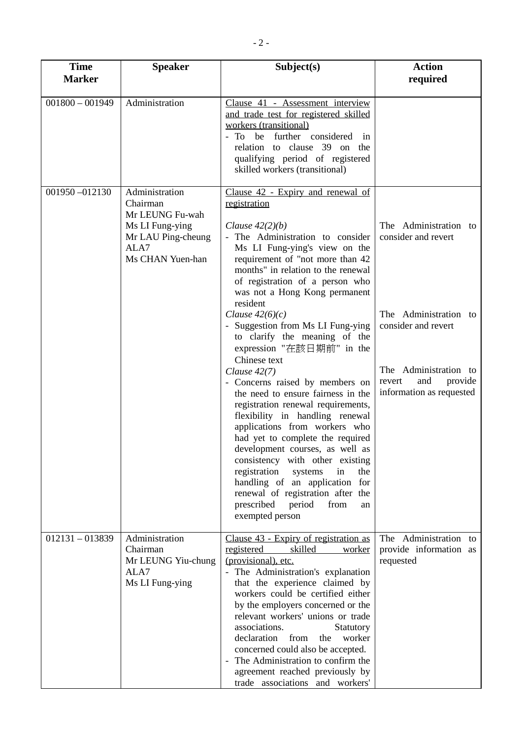| <b>Time</b><br><b>Marker</b> | <b>Speaker</b>                                                                                                     | Subject(s)                                                                                                                                                                                                                                                                                                                                                                                                                                                                                                                                                                                                                                                                                                                                                                                                                                                                                                                       | <b>Action</b><br>required                                                                                                                                                     |
|------------------------------|--------------------------------------------------------------------------------------------------------------------|----------------------------------------------------------------------------------------------------------------------------------------------------------------------------------------------------------------------------------------------------------------------------------------------------------------------------------------------------------------------------------------------------------------------------------------------------------------------------------------------------------------------------------------------------------------------------------------------------------------------------------------------------------------------------------------------------------------------------------------------------------------------------------------------------------------------------------------------------------------------------------------------------------------------------------|-------------------------------------------------------------------------------------------------------------------------------------------------------------------------------|
| $001800 - 001949$            | Administration                                                                                                     | Clause 41 - Assessment interview<br>and trade test for registered skilled<br>workers (transitional)<br>further considered<br>be<br>To<br>in<br>relation to clause 39 on the<br>qualifying period of registered<br>skilled workers (transitional)                                                                                                                                                                                                                                                                                                                                                                                                                                                                                                                                                                                                                                                                                 |                                                                                                                                                                               |
| 001950-012130                | Administration<br>Chairman<br>Mr LEUNG Fu-wah<br>Ms LI Fung-ying<br>Mr LAU Ping-cheung<br>ALA7<br>Ms CHAN Yuen-han | Clause 42 - Expiry and renewal of<br>registration<br>Clause $42(2)(b)$<br>The Administration to consider<br>Ms LI Fung-ying's view on the<br>requirement of "not more than 42<br>months" in relation to the renewal<br>of registration of a person who<br>was not a Hong Kong permanent<br>resident<br>Clause $42(6)(c)$<br>Suggestion from Ms LI Fung-ying<br>to clarify the meaning of the<br>expression "在該日期前" in the<br>Chinese text<br>Clause $42(7)$<br>- Concerns raised by members on<br>the need to ensure fairness in the<br>registration renewal requirements,<br>flexibility in handling renewal<br>applications from workers who<br>had yet to complete the required<br>development courses, as well as<br>consistency with other existing<br>registration<br>systems<br>in<br>the<br>handling of an application for<br>renewal of registration after the<br>prescribed<br>period<br>from<br>an<br>exempted person | The Administration to<br>consider and revert<br>The Administration to<br>consider and revert<br>The Administration to<br>and<br>provide<br>revert<br>information as requested |
| $012131 - 013839$            | Administration<br>Chairman<br>Mr LEUNG Yiu-chung<br>ALA7<br>Ms LI Fung-ying                                        | Clause 43 - Expiry of registration as<br>registered<br>skilled<br>worker<br>(provisional), etc.<br>The Administration's explanation<br>that the experience claimed by<br>workers could be certified either<br>by the employers concerned or the<br>relevant workers' unions or trade<br>associations.<br>Statutory<br>declaration<br>from<br>worker<br>the<br>concerned could also be accepted.<br>The Administration to confirm the<br>agreement reached previously by<br>trade associations and workers'                                                                                                                                                                                                                                                                                                                                                                                                                       | The Administration to<br>provide information as<br>requested                                                                                                                  |